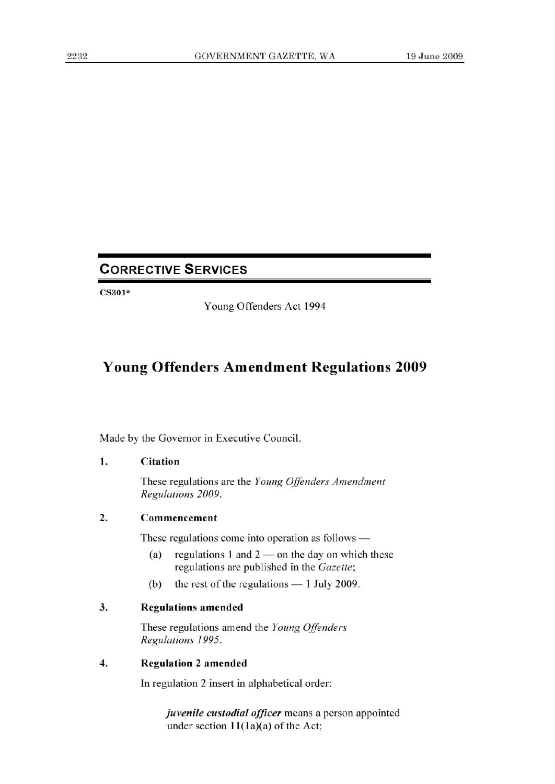# **CORRECTIVE SERVICES**

CS301\*

Young Offenders Act 1994

## **Young Offenders Amendment Regulations 2009**

Made by the Governor in Executive Council.

#### **1. Citation**

These regulations are the *Young Offenders Amendment Regulations 2009.* 

#### **2. Commencement**

These regulations come into operation as follows —

- (a) regulations 1 and  $2$  on the day on which these regulations are published in the *Gazette;*
- (b) the rest of the regulations 1 July 2009.

#### **3. Regulations amended**

These regulations amend the *Young Offenders Regulations 1995.* 

#### **4. Regulation 2 amended**

In regulation 2 insert in alphabetical order:

*juvenile custodial officer* means a person appointed under section  $11(1a)(a)$  of the Act;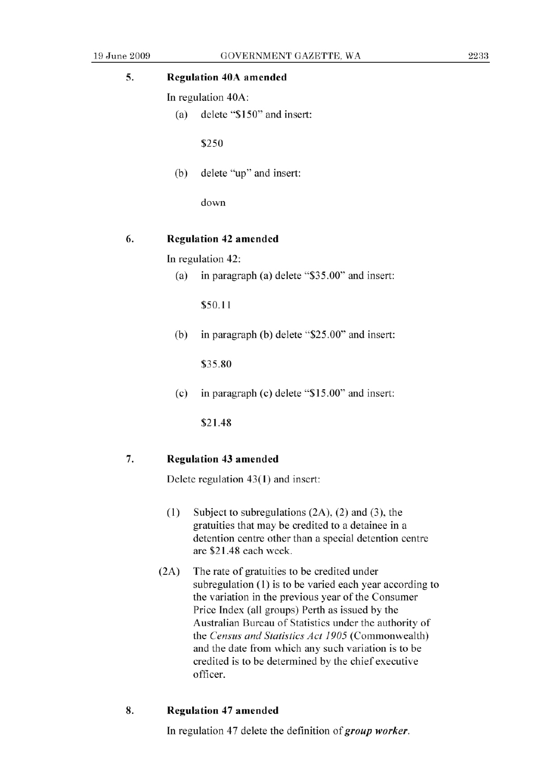### **5. Regulation 40A amended**

In regulation 40A:

(a) delete "\$150" and insert:

*\$250* 

(b) delete "up" and insert:

down

#### **6. Regulation** 42 amended

In regulation 42:

(a) in paragraph (a) delete *"\$35.00"* and insert:

\$50.11

(b) in paragraph (b) delete "\$25.00" and insert:

*\$35.80* 

(c) in paragraph (c) delete "\$15.00" and insert:

\$21.48

#### 7. **Regulation** 43 amended

Delete regulation 43(1) and insert:

- (1) Subject to subregulations (2A), (2) and (3), the gratuities that may be credited to a detainee in a detention centre other than a special detention centre are \$21.48 each week.
- (2A) The rate of gratuities to be credited under subregulation (1) is to be varied each year according to the variation in the previous year of the Consumer Price Index (all groups) Perth as issued by the Australian Bureau of Statistics under the authority of *the Census and Statistics Act 1905* (Commonwealth) and the date from which any such variation is to be credited is to be determined by the chief executive officer.

#### **8. Regulation** 47 amended

In regulation 47 delete the definition *of group worker.*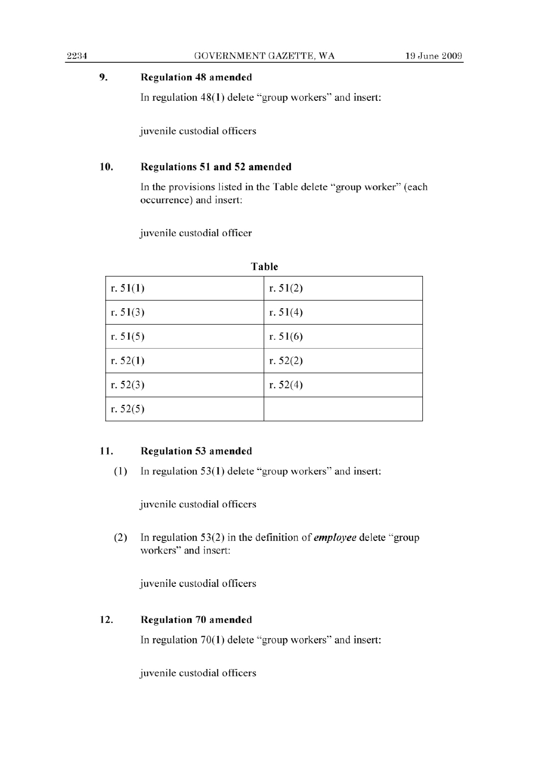#### **9. Regulation 48 amended**

In regulation 48(1) delete "group workers" and insert:

juvenile custodial officers

### 10. Regulations 51 and 52 amended

In the provisions listed in the Table delete "group worker" (each occurrence) and insert:

juvenile custodial officer

| Table      |            |
|------------|------------|
| r. $51(1)$ | r. $51(2)$ |
| r. $51(3)$ | r. $51(4)$ |
| r. $51(5)$ | r. $51(6)$ |
| r. $52(1)$ | r. $52(2)$ |
| r. $52(3)$ | r. $52(4)$ |
| r. $52(5)$ |            |

### **11. Regulation** 53 amended

(1) In regulation *53(1)* delete "group workers" and insert:

juvenile custodial officers

(2) In regulation 53(2) in the definition *of employee* delete "group workers" and insert:

juvenile custodial officers

## **12. Regulation 70 amended**

In regulation 70(1) delete "group workers" and insert:

juvenile custodial officers